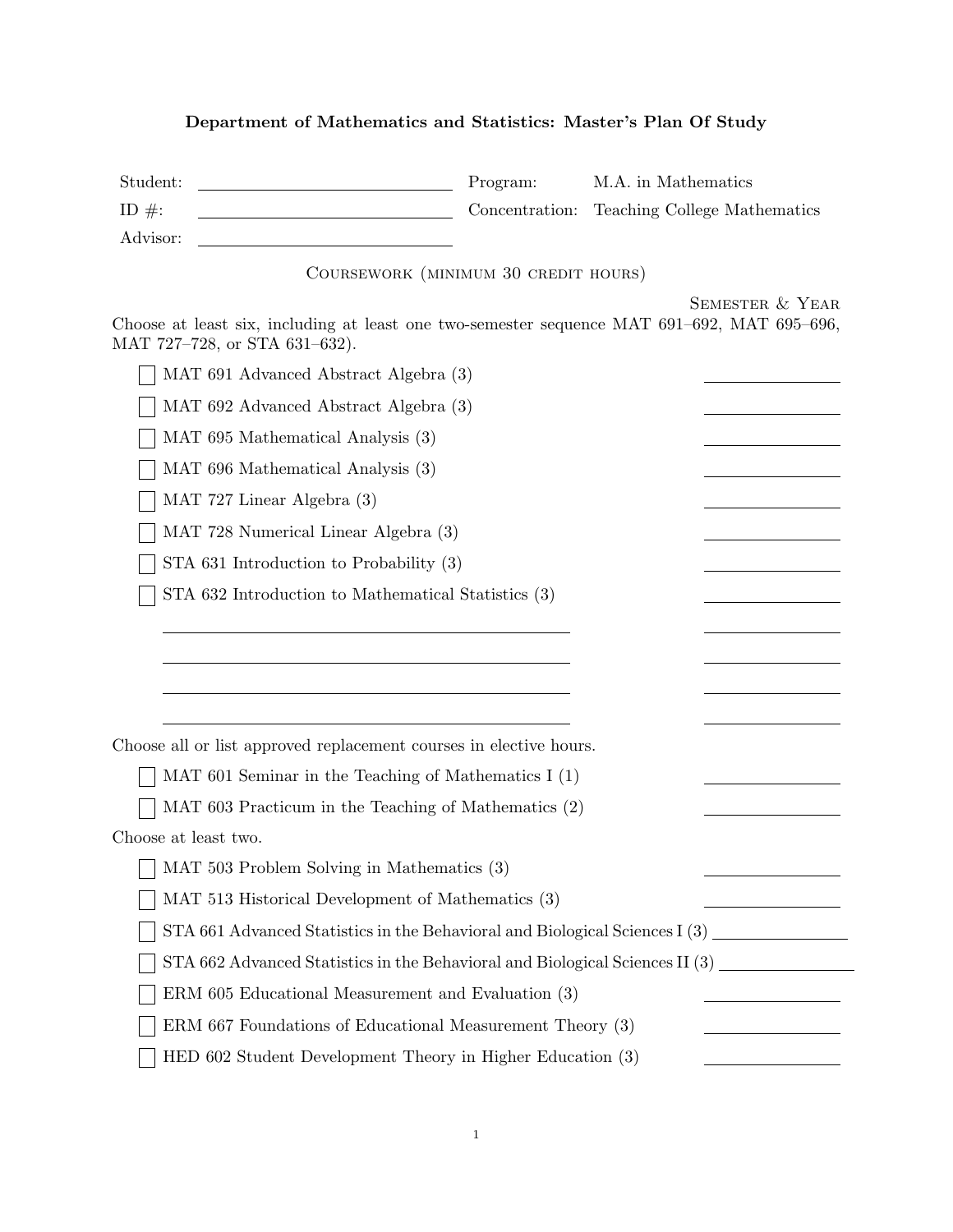## Department of Mathematics and Statistics: Master's Plan Of Study

| Student:<br>ID $\#$ : |                                                     | Program:<br>Concentration:                                                   | M.A. in Mathematics<br>Teaching College Mathematics                                         |
|-----------------------|-----------------------------------------------------|------------------------------------------------------------------------------|---------------------------------------------------------------------------------------------|
| Advisor:              |                                                     |                                                                              |                                                                                             |
|                       |                                                     | COURSEWORK (MINIMUM 30 CREDIT HOURS)                                         |                                                                                             |
|                       |                                                     |                                                                              | <b>SEMESTER &amp; YEAR</b>                                                                  |
|                       | MAT 727-728, or STA 631-632).                       |                                                                              | Choose at least six, including at least one two-semester sequence MAT 691-692, MAT 695-696, |
|                       | MAT 691 Advanced Abstract Algebra (3)               |                                                                              |                                                                                             |
|                       | MAT 692 Advanced Abstract Algebra (3)               |                                                                              |                                                                                             |
|                       | MAT 695 Mathematical Analysis (3)                   |                                                                              |                                                                                             |
|                       | MAT 696 Mathematical Analysis (3)                   |                                                                              |                                                                                             |
|                       | MAT 727 Linear Algebra (3)                          |                                                                              |                                                                                             |
|                       | MAT 728 Numerical Linear Algebra (3)                |                                                                              |                                                                                             |
|                       | STA 631 Introduction to Probability (3)             |                                                                              |                                                                                             |
|                       | STA 632 Introduction to Mathematical Statistics (3) |                                                                              |                                                                                             |
|                       |                                                     |                                                                              |                                                                                             |
|                       |                                                     |                                                                              |                                                                                             |
|                       |                                                     |                                                                              |                                                                                             |
|                       |                                                     |                                                                              |                                                                                             |
|                       |                                                     | Choose all or list approved replacement courses in elective hours.           |                                                                                             |
|                       |                                                     | MAT 601 Seminar in the Teaching of Mathematics $I(1)$                        |                                                                                             |
|                       |                                                     | MAT 603 Practicum in the Teaching of Mathematics (2)                         |                                                                                             |
| Choose at least two.  |                                                     |                                                                              |                                                                                             |
|                       | MAT 503 Problem Solving in Mathematics (3)          |                                                                              |                                                                                             |
|                       | MAT 513 Historical Development of Mathematics (3)   |                                                                              |                                                                                             |
|                       |                                                     |                                                                              | STA 661 Advanced Statistics in the Behavioral and Biological Sciences I (3)                 |
|                       |                                                     | STA 662 Advanced Statistics in the Behavioral and Biological Sciences II (3) |                                                                                             |

1

ERM 605 Educational Measurement and Evaluation (3)

 $\perp$ 

 $\perp$ 

ERM 667 Foundations of Educational Measurement Theory (3)

HED 602 Student Development Theory in Higher Education (3)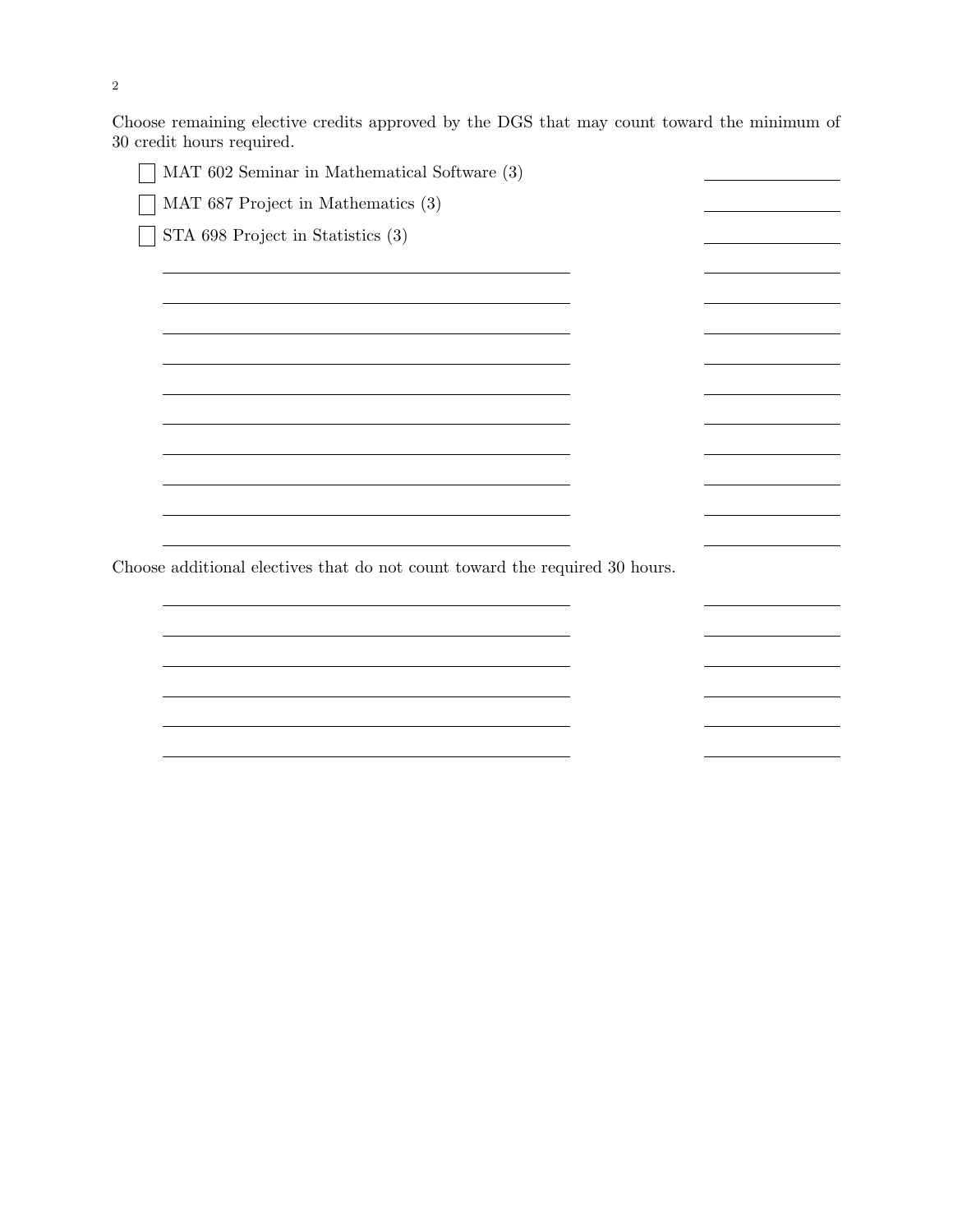Choose remaining elective credits approved by the DGS that may count toward the minimum of 30 credit hours required.

 $\overline{\phantom{a}}$ 

 $\overline{\phantom{a}}$ 

<u> 1980 - Johann Barn, mars an t-Amerikaansk ferske omr</u>

<u> 1980 - Johann Barbara, martxa a</u>

MAT 602 Seminar in Mathematical Software (3)  $\Box$ 

MAT 687 Project in Mathematics (3)

 $\Box$  STA 698 Project in Statistics (3)

Choose additional electives that do not count toward the required 30 hours.

<u> 1989 - Johann Barbara, martxa alemaniar a</u>

<u> 1989 - Johann Barn, fransk politik (f. 1989)</u>